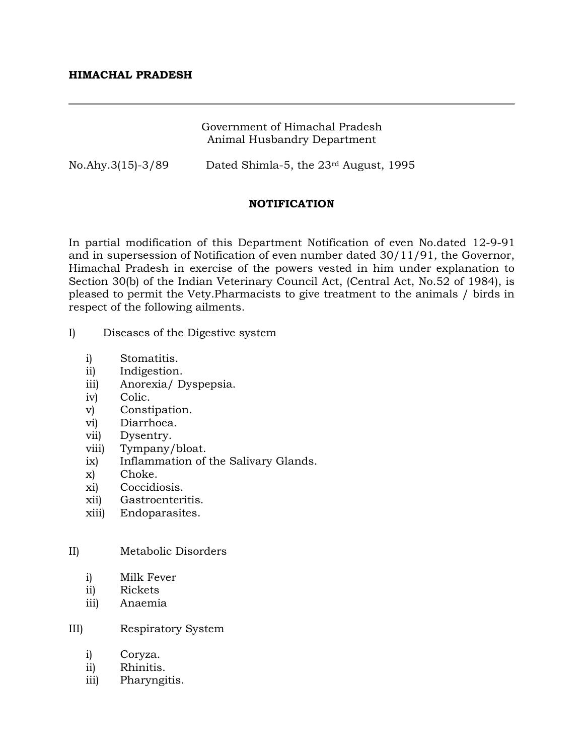## Government of Himachal Pradesh Animal Husbandry Department

No.Ahy.3(15)-3/89 Dated Shimla-5, the 23rd August, 1995

# **NOTIFICATION**

In partial modification of this Department Notification of even No.dated 12-9-91 and in supersession of Notification of even number dated 30/11/91, the Governor, Himachal Pradesh in exercise of the powers vested in him under explanation to Section 30(b) of the Indian Veterinary Council Act, (Central Act, No.52 of 1984), is pleased to permit the Vety.Pharmacists to give treatment to the animals / birds in respect of the following ailments.

- I) Diseases of the Digestive system
	- i) Stomatitis.
	- ii) Indigestion.
	- iii) Anorexia/ Dyspepsia.
	- iv) Colic.
	- v) Constipation.
	- vi) Diarrhoea.
	- vii) Dysentry.
	- viii) Tympany/bloat.
	- ix) Inflammation of the Salivary Glands.
	- x) Choke.
	- xi) Coccidiosis.
	- xii) Gastroenteritis.
	- xiii) Endoparasites.

#### II) Metabolic Disorders

- i) Milk Fever
- ii) Rickets
- iii) Anaemia

#### III) Respiratory System

- i) Coryza.
- ii) Rhinitis.
- iii) Pharyngitis.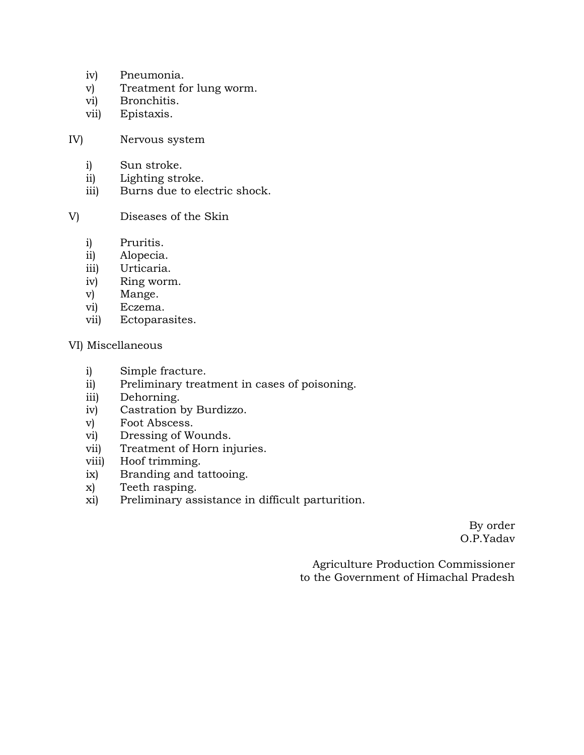- iv) Pneumonia.
- v) Treatment for lung worm.
- vi) Bronchitis.
- vii) Epistaxis.
- IV) Nervous system
	- i) Sun stroke.
	- ii) Lighting stroke.
	- iii) Burns due to electric shock.
- V) Diseases of the Skin
	- i) Pruritis.
	- ii) Alopecia.
	- iii) Urticaria.
	- iv) Ring worm.
	- v) Mange.
	- vi) Eczema.
	- vii) Ectoparasites.
- VI) Miscellaneous
	- i) Simple fracture.
	- ii) Preliminary treatment in cases of poisoning.
	- iii) Dehorning.
	- iv) Castration by Burdizzo.
	- v) Foot Abscess.
	- vi) Dressing of Wounds.
	- vii) Treatment of Horn injuries.
	- viii) Hoof trimming.
	- ix) Branding and tattooing.
	- x) Teeth rasping.
	- xi) Preliminary assistance in difficult parturition.

 By order O.P.Yadav

 Agriculture Production Commissioner to the Government of Himachal Pradesh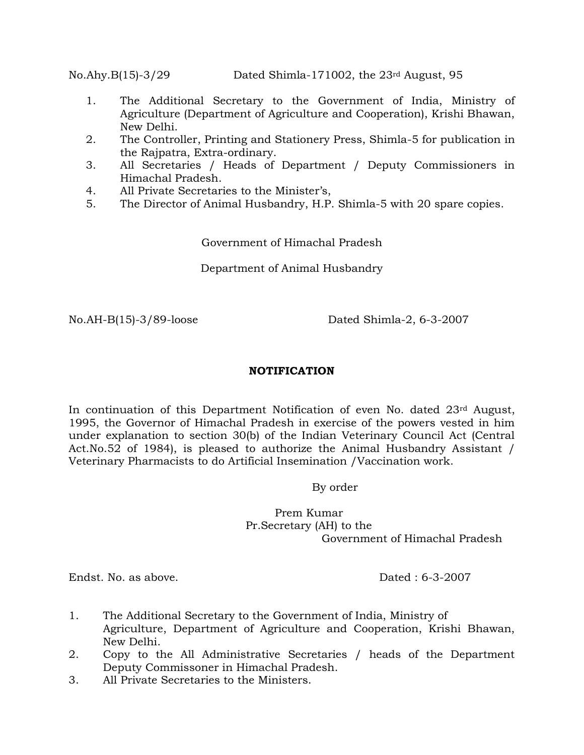No.Ahy.B(15)-3/29 Dated Shimla-171002, the 23rd August, 95

- 1. The Additional Secretary to the Government of India, Ministry of Agriculture (Department of Agriculture and Cooperation), Krishi Bhawan, New Delhi.
- 2. The Controller, Printing and Stationery Press, Shimla-5 for publication in the Rajpatra, Extra-ordinary.
- 3. All Secretaries / Heads of Department / Deputy Commissioners in Himachal Pradesh.
- 4. All Private Secretaries to the Minister's,
- 5. The Director of Animal Husbandry, H.P. Shimla-5 with 20 spare copies.

Government of Himachal Pradesh

Department of Animal Husbandry

No.AH-B(15)-3/89-loose Dated Shimla-2, 6-3-2007

### **NOTIFICATION**

In continuation of this Department Notification of even No. dated  $23<sup>rd</sup>$  August, 1995, the Governor of Himachal Pradesh in exercise of the powers vested in him under explanation to section 30(b) of the Indian Veterinary Council Act (Central Act.No.52 of 1984), is pleased to authorize the Animal Husbandry Assistant / Veterinary Pharmacists to do Artificial Insemination /Vaccination work.

By order

Prem Kumar Pr.Secretary (AH) to the Government of Himachal Pradesh

Endst. No. as above. Dated : 6-3-2007

- 1. The Additional Secretary to the Government of India, Ministry of Agriculture, Department of Agriculture and Cooperation, Krishi Bhawan, New Delhi.
- 2. Copy to the All Administrative Secretaries / heads of the Department Deputy Commissoner in Himachal Pradesh.
- 3. All Private Secretaries to the Ministers.